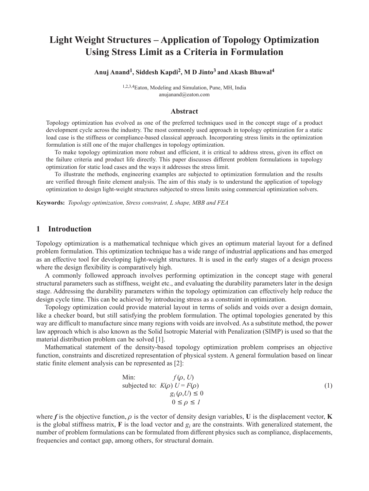# **Light Weight Structures – Application of Topology Optimization Using Stress Limit as a Criteria in Formulation**

**Anuj Anand1, Siddesh Kapdi2, M D Jinto3 and Akash Bhuwal4**

1,2,3,4Eaton, Modeling and Simulation, Pune, MH, India anujanand@eaton.com

#### **Abstract**

Topology optimization has evolved as one of the preferred techniques used in the concept stage of a product development cycle across the industry. The most commonly used approach in topology optimization for a static load case is the stiffness or compliance-based classical approach. Incorporating stress limits in the optimization formulation is still one of the major challenges in topology optimization.

To make topology optimization more robust and efficient, it is critical to address stress, given its effect on the failure criteria and product life directly. This paper discusses different problem formulations in topology optimization for static load cases and the ways it addresses the stress limit.

To illustrate the methods, engineering examples are subjected to optimization formulation and the results are verified through finite element analysis. The aim of this study is to understand the application of topology optimization to design light-weight structures subjected to stress limits using commercial optimization solvers.

**Keywords:** *Topology optimization, Stress constraint, L shape, MBB and FEA*

### **1 Introduction**

Topology optimization is a mathematical technique which gives an optimum material layout for a defined problem formulation. This optimization technique has a wide range of industrial applications and has emerged as an effective tool for developing light-weight structures. It is used in the early stages of a design process where the design flexibility is comparatively high.

A commonly followed approach involves performing optimization in the concept stage with general structural parameters such as stiffness, weight etc., and evaluating the durability parameters later in the design stage. Addressing the durability parameters within the topology optimization can effectively help reduce the design cycle time. This can be achieved by introducing stress as a constraint in optimization.

Topology optimization could provide material layout in terms of solids and voids over a design domain, like a checker board, but still satisfying the problem formulation. The optimal topologies generated by this way are difficult to manufacture since many regions with voids are involved. As a substitute method, the power law approach which is also known as the Solid Isotropic Material with Penalization (SIMP) is used so that the material distribution problem can be solved [1].

Mathematical statement of the density-based topology optimization problem comprises an objective function, constraints and discretized representation of physical system. A general formulation based on linear static finite element analysis can be represented as [2]:

Min: 
$$
f(\rho, U)
$$
  
subjected to:  $K(\rho) U = F(\rho)$   
 $g_i(\rho, U) \le 0$   
 $0 \le \rho \le I$  (1)

where f is the objective function,  $\rho$  is the vector of density design variables, **U** is the displacement vector, **K** is the global stiffness matrix, **F** is the load vector and  $g_i$  are the constraints. With generalized statement, the number of problem formulations can be formulated from different physics such as compliance, displacements, frequencies and contact gap, among others, for structural domain.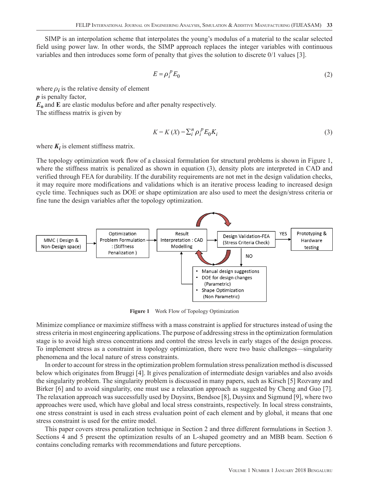SIMP is an interpolation scheme that interpolates the young's modulus of a material to the scalar selected field using power law. In other words, the SIMP approach replaces the integer variables with continuous variables and then introduces some form of penalty that gives the solution to discrete 0/1 values [3].

$$
E = \rho_i^{\,p} E_0 \tag{2}
$$

where  $\rho_i$  is the relative density of element *p* is penalty factor, *E***o** and **E** are elastic modulus before and after penalty respectively. The stiffness matrix is given by

$$
K = K(X) = \sum_{i}^{n} \rho_i^P E_0 K_i
$$
\n<sup>(3)</sup>

where  $K_i$  is element stiffness matrix.

The topology optimization work flow of a classical formulation for structural problems is shown in Figure 1, where the stiffness matrix is penalized as shown in equation (3), density plots are interpreted in CAD and verified through FEA for durability. If the durability requirements are not met in the design validation checks, it may require more modifications and validations which is an iterative process leading to increased design cycle time. Techniques such as DOE or shape optimization are also used to meet the design/stress criteria or fine tune the design variables after the topology optimization.



**Figure 1** Work Flow of Topology Optimization

Minimize compliance or maximize stiffness with a mass constraint is applied for structures instead of using the stress criteria in most engineering applications. The purpose of addressing stress in the optimization formulation stage is to avoid high stress concentrations and control the stress levels in early stages of the design process. To implement stress as a constraint in topology optimization, there were two basic challenges—singularity phenomena and the local nature of stress constraints.

In order to account for stress in the optimization problem formulation stress penalization method is discussed below which originates from Bruggi [4]. It gives penalization of intermediate design variables and also avoids the singularity problem. The singularity problem is discussed in many papers, such as Kirsch [5] Rozvany and Birker [6] and to avoid singularity, one must use a relaxation approach as suggested by Cheng and Guo [7]. The relaxation approach was successfully used by Duysinx, Bendsoe [8], Duysinx and Sigmund [9], where two approaches were used, which have global and local stress constraints, respectively. In local stress constraints, one stress constraint is used in each stress evaluation point of each element and by global, it means that one stress constraint is used for the entire model.

This paper covers stress penalization technique in Section 2 and three different formulations in Section 3. Sections 4 and 5 present the optimization results of an L-shaped geometry and an MBB beam. Section 6 contains concluding remarks with recommendations and future perceptions.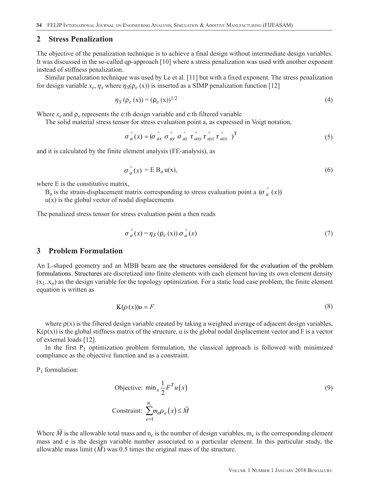#### **2 Stress Penalization**

The objective of the penalization technique is to achieve a final design without intermediate design variables. It was discussed in the so-called qp-approach [10] where a stress penalization was used with another exponent instead of stiffness penalization.

Similar penalization technique was used by Le et al. [11] but with a fixed exponent. The stress penalization for design variable  $x_e$ ,  $\eta_s$  where  $\eta_s(\rho_e(x))$  is inserted as a SIMP penalization function [12]

$$
\eta_S(\rho_e(x)) = (\rho_e(x))^{1/2} \tag{4}
$$

Where  $x_e$  and  $\rho_e$  represents the e:th design variable and e:th filtered variable

The solid material stress tensor for stress evaluation point a, as expressed in Voigt notation,

$$
\sigma \hat{d}(x) = (\sigma \hat{d}x \sigma \hat{d}y \sigma \hat{d}z \tau \hat{d}xy \tau \hat{d}yz \tau \hat{d}zx)^{\mathrm{T}}
$$
(5)

and it is calculated by the finite element analysis (FE-analysis), as

$$
\sigma_a^{\hat{}}(x) = \mathbf{E} \, \mathbf{B}_a \, \mathbf{u}(x),\tag{6}
$$

where E is the constitutive matrix,

 $B_a$  is the strain-displacement matrix corresponding to stress evaluation point a  $(\sigma \hat{i} \cdot (x))$ 

 $u(x)$  is the global vector of nodal displacements

The penalized stress tensor for stress evaluation point a then reads

$$
\sigma_a^{\hat{}}(x) = \eta_S(\rho_e(x)) \sigma_a^{\hat{}}(x)
$$
 (7)

#### **3 Problem Formulation**

An L-shaped geometry and an MBB beam are the structures considered for the evaluation of the problem formulations. Structures are discretized into finite elements with each element having its own element density  $(x_1..x_n)$  as the design variable for the topology optimization. For a static load case problem, the finite element equation is written as

$$
K(\rho(x))u = F \tag{8}
$$

where  $p(x)$  is the filtered design variable created by taking a weighted average of adjacent design variables,  $K(\rho(x))$  is the global stiffness matrix of the structure, u is the global nodal displacement vector and F is a vector of external loads [12].

In the first  $P_1$  optimization problem formulation, the classical approach is followed with minimized compliance as the objective function and as a constraint.

 $P_1$  formulation:

$$
\begin{aligned} \n\text{Objective: } \min_{x} \frac{1}{2} F^T u(x) \\ \n\text{Construct: } \sum_{e=1}^{n_e} m_e \rho_e(x) \le \overline{M} \n\end{aligned} \n\tag{9}
$$

Where *M* is the allowable total mass and  $n_e$  is the number of design variables,  $m_e$  is the corresponding element mass and e is the design variable number associated to a particular element. In this particular study, the allowable mass limit  $(\overline{M})$  was 0.5 times the original mass of the structure.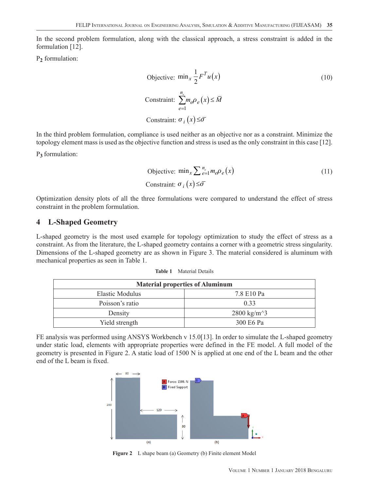In the second problem formulation, along with the classical approach, a stress constraint is added in the formulation [12].

P**2** formulation:

Objective: 
$$
\min_{x} \frac{1}{2} F^{T} u(x)
$$

\nConstant: 
$$
\sum_{e=1}^{n_e} m_e \rho_e(x) \leq \overline{M}
$$

\nConstant: 
$$
\sigma_i(x) \leq \overline{\sigma}
$$

In the third problem formulation, compliance is used neither as an objective nor as a constraint. Minimize the topology element mass is used as the objective function and stress is used as the only constraint in this case [12].

P**<sup>3</sup>** formulation:

$$
\begin{aligned} \n\text{Objective: } \min_{x} \sum_{e=1}^{n_e} m_e \rho_e(x) \\ \n\text{Constant: } \sigma_i(x) \leq \overline{\sigma} \n\end{aligned} \n\tag{11}
$$

Optimization density plots of all the three formulations were compared to understand the effect of stress constraint in the problem formulation.

#### **4 L-Shaped Geometry**

L-shaped geometry is the most used example for topology optimization to study the effect of stress as a constraint. As from the literature, the L-shaped geometry contains a corner with a geometric stress singularity. Dimensions of the L-shaped geometry are as shown in Figure 3. The material considered is aluminum with mechanical properties as seen in Table 1.

| <b>Material properties of Aluminum</b> |                                          |
|----------------------------------------|------------------------------------------|
| <b>Elastic Modulus</b>                 | 7.8 E10 Pa                               |
| Poisson's ratio                        | 0.33                                     |
| Density                                | 2800 kg/m <sup><math>\sim</math></sup> 3 |
| Yield strength                         | 300 E6 Pa                                |

FE analysis was performed using ANSYS Workbench v 15.0[13]. In order to simulate the L-shaped geometry under static load, elements with appropriate properties were defined in the FE model. A full model of the geometry is presented in Figure 2. A static load of 1500 N is applied at one end of the L beam and the other end of the L beam is fixed.



**Figure 2** L shape beam (a) Geometry (b) Finite element Model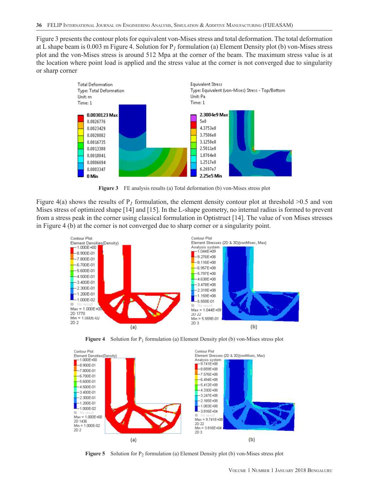Figure 3 presents the contour plots for equivalent von-Mises stress and total deformation. The total deformation at L shape beam is 0.003 m Figure 4. Solution for P*1* formulation (a) Element Density plot (b) von-Mises stress plot and the von-Mises stress is around 512 Mpa at the corner of the beam. The maximum stress value is at the location where point load is applied and the stress value at the corner is not converged due to singularity or sharp corner



**Figure 3** FE analysis results (a) Total deformation (b) von-Mises stress plot

Figure 4(a) shows the results of  $P<sub>I</sub>$  formulation, the element density contour plot at threshold  $>0.5$  and von Mises stress of optimized shape [14] and [15]. In the L-shape geometry, no internal radius is formed to prevent from a stress peak in the corner using classical formulation in Optistruct [14]. The value of von Mises stresses in Figure 4 (b) at the corner is not converged due to sharp corner or a singularity point.







**Figure 5** Solution for P<sub>2</sub> formulation (a) Element Density plot (b) von-Mises stress plot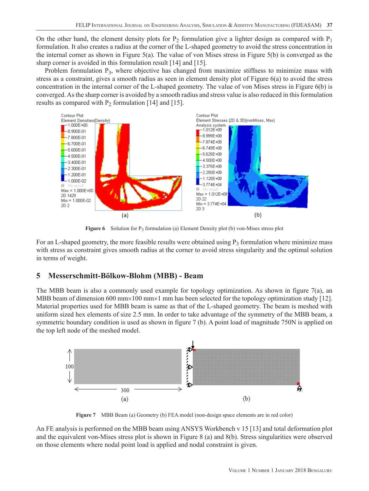On the other hand, the element density plots for  $P_2$  formulation give a lighter design as compared with  $P_1$ formulation. It also creates a radius at the corner of the L-shaped geometry to avoid the stress concentration in the internal corner as shown in Figure 5(a). The value of von Mises stress in Figure 5(b) is converged as the sharp corner is avoided in this formulation result [14] and [15].

Problem formulation  $P_3$ , where objective has changed from maximize stiffness to minimize mass with stress as a constraint, gives a smooth radius as seen in element density plot of Figure 6(a) to avoid the stress concentration in the internal corner of the L-shaped geometry. The value of von Mises stress in Figure 6(b) is converged. As the sharp corner is avoided by a smooth radius and stress value is also reduced in this formulation results as compared with  $P_2$  formulation [14] and [15].



**Figure 6** Solution for P<sub>3</sub> formulation (a) Element Density plot (b) von-Mises stress plot

For an L-shaped geometry, the more feasible results were obtained using  $P_3$  formulation where minimize mass with stress as constraint gives smooth radius at the corner to avoid stress singularity and the optimal solution in terms of weight.

## **5 Messerschmitt-Bölkow-Blohm (MBB) - Beam**

The MBB beam is also a commonly used example for topology optimization. As shown in figure 7(a), an MBB beam of dimension 600 mm×100 mm×1 mm has been selected for the topology optimization study [12]. Material properties used for MBB beam is same as that of the L-shaped geometry. The beam is meshed with uniform sized hex elements of size 2.5 mm. In order to take advantage of the symmetry of the MBB beam, a symmetric boundary condition is used as shown in figure 7 (b). A point load of magnitude 750N is applied on the top left node of the meshed model.



**Figure 7** MBB Beam (a) Geometry (b) FEA model (non-design space elements are in red color)

An FE analysis is performed on the MBB beam using ANSYS Workbench v 15 [13] and total deformation plot and the equivalent von-Mises stress plot is shown in Figure 8 (a) and 8(b). Stress singularities were observed on those elements where nodal point load is applied and nodal constraint is given.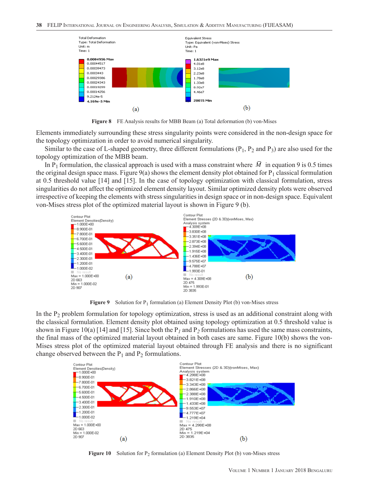

**Figure 8** FE Analysis results for MBB Beam (a) Total deformation (b) von-Mises

Elements immediately surrounding these stress singularity points were considered in the non-design space for the topology optimization in order to avoid numerical singularity.

Similar to the case of L-shaped geometry, three different formulations  $(P_1, P_2$  and  $P_3)$  are also used for the topology optimization of the MBB beam.

In P<sub>1</sub> formulation, the classical approach is used with a mass constraint where  $\overline{M}$  in equation 9 is 0.5 times the original design space mass. Figure 9(a) shows the element density plot obtained for  $P_1$  classical formulation at 0.5 threshold value [14] and [15]. In the case of topology optimization with classical formulation, stress singularities do not affect the optimized element density layout. Similar optimized density plots were observed irrespective of keeping the elements with stress singularities in design space or in non-design space. Equivalent von-Mises stress plot of the optimized material layout is shown in Figure 9 (b).



**Figure 9** Solution for  $P_1$  formulation (a) Element Density Plot (b) von-Mises stress

In the P2 problem formulation for topology optimization, stress is used as an additional constraint along with the classical formulation. Element density plot obtained using topology optimization at 0.5 threshold value is shown in Figure 10(a) [14] and [15]. Since both the  $P_1$  and  $P_2$  formulations has used the same mass constraints, the final mass of the optimized material layout obtained in both cases are same. Figure 10(b) shows the von-Mises stress plot of the optimized material layout obtained through FE analysis and there is no significant change observed between the  $P_1$  and  $P_2$  formulations.



**Figure 10** Solution for  $P_2$  formulation (a) Element Density Plot (b) von-Mises stress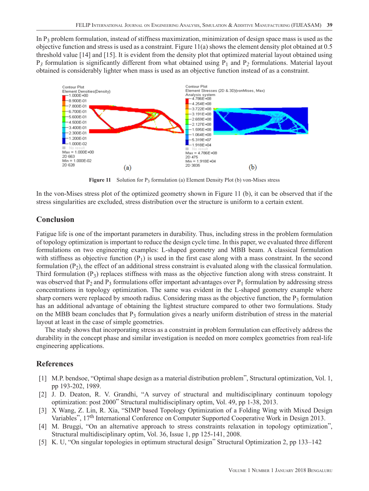In  $P_3$  problem formulation, instead of stiffness maximization, minimization of design space mass is used as the objective function and stress is used as a constraint. Figure 11(a) shows the element density plot obtained at 0.5 threshold value [14] and [15]. It is evident from the density plot that optimized material layout obtained using P*3* formulation is significantly different from what obtained using P1 and P*2* formulations. Material layout obtained is considerably lighter when mass is used as an objective function instead of as a constraint.



**Figure 11** Solution for P3 formulation (a) Element Density Plot (b) von-Mises stress

In the von-Mises stress plot of the optimized geometry shown in Figure 11 (b), it can be observed that if the stress singularities are excluded, stress distribution over the structure is uniform to a certain extent.

#### **Conclusion**

Fatigue life is one of the important parameters in durability. Thus, including stress in the problem formulation of topology optimization is important to reduce the design cycle time. In this paper, we evaluated three different formulations on two engineering examples: L-shaped geometry and MBB beam. A classical formulation with stiffness as objective function  $(P_1)$  is used in the first case along with a mass constraint. In the second formulation  $(P_2)$ , the effect of an additional stress constraint is evaluated along with the classical formulation. Third formulation  $(P_3)$  replaces stiffness with mass as the objective function along with stress constraint. It was observed that  $P_2$  and  $P_3$  formulations offer important advantages over  $P_1$  formulation by addressing stress concentrations in topology optimization. The same was evident in the L-shaped geometry example where sharp corners were replaced by smooth radius. Considering mass as the objective function, the  $P_3$  formulation has an additional advantage of obtaining the lightest structure compared to other two formulations. Study on the MBB beam concludes that  $P_3$  formulation gives a nearly uniform distribution of stress in the material layout at least in the case of simple geometries.

The study shows that incorporating stress as a constraint in problem formulation can effectively address the durability in the concept phase and similar investigation is needed on more complex geometries from real-life engineering applications.

#### **References**

- [1] M.P. bendsoe, "Optimal shape design as a material distribution problem", Structural optimization, Vol. 1, pp 193-202, 1989.
- [2] J. D. Deaton, R. V. Grandhi, "A survey of structural and multidisciplinary continuum topology optimization: post 2000" Structural multidisciplinary optim, Vol. 49, pp 1-38, 2013.
- [3] X Wang, Z. Lin, R. Xia, "SIMP based Topology Optimization of a Folding Wing with Mixed Design Variables", 17th International Conference on Computer Supported Cooperative Work in Design 2013.
- [4] M. Bruggi, "On an alternative approach to stress constraints relaxation in topology optimization", Structural multidisciplinary optim, Vol. 36, Issue 1, pp 125-141, 2008.
- [5] K. U, "On singular topologies in optimum structural design" Structural Optimization 2, pp 133–142